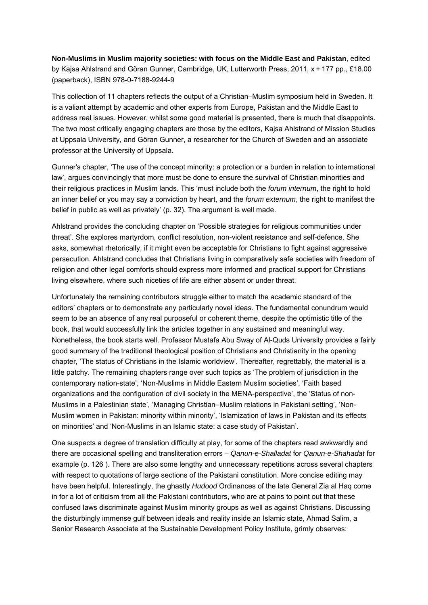**Non-Muslims in Muslim majority societies: with focus on the Middle East and Pakistan**, edited by Kajsa Ahlstrand and Göran Gunner, Cambridge, UK, Lutterworth Press, 2011, x + 177 pp., £18.00 (paperback), ISBN 978-0-7188-9244-9

This collection of 11 chapters reflects the output of a Christian–Muslim symposium held in Sweden. It is a valiant attempt by academic and other experts from Europe, Pakistan and the Middle East to address real issues. However, whilst some good material is presented, there is much that disappoints. The two most critically engaging chapters are those by the editors, Kajsa Ahlstrand of Mission Studies at Uppsala University, and Göran Gunner, a researcher for the Church of Sweden and an associate professor at the University of Uppsala.

Gunner's chapter, 'The use of the concept minority: a protection or a burden in relation to international law', argues convincingly that more must be done to ensure the survival of Christian minorities and their religious practices in Muslim lands. This 'must include both the *forum internum*, the right to hold an inner belief or you may say a conviction by heart, and the *forum externum*, the right to manifest the belief in public as well as privately' (p. 32). The argument is well made.

Ahlstrand provides the concluding chapter on 'Possible strategies for religious communities under threat'. She explores martyrdom, conflict resolution, non-violent resistance and self-defence. She asks, somewhat rhetorically, if it might even be acceptable for Christians to fight against aggressive persecution. Ahlstrand concludes that Christians living in comparatively safe societies with freedom of religion and other legal comforts should express more informed and practical support for Christians living elsewhere, where such niceties of life are either absent or under threat.

Unfortunately the remaining contributors struggle either to match the academic standard of the editors' chapters or to demonstrate any particularly novel ideas. The fundamental conundrum would seem to be an absence of any real purposeful or coherent theme, despite the optimistic title of the book, that would successfully link the articles together in any sustained and meaningful way. Nonetheless, the book starts well. Professor Mustafa Abu Sway of Al-Quds University provides a fairly good summary of the traditional theological position of Christians and Christianity in the opening chapter, 'The status of Christians in the Islamic worldview'. Thereafter, regrettably, the material is a little patchy. The remaining chapters range over such topics as 'The problem of jurisdiction in the contemporary nation-state', 'Non-Muslims in Middle Eastern Muslim societies', 'Faith based organizations and the configuration of civil society in the MENA-perspective', the 'Status of non-Muslims in a Palestinian state', 'Managing Christian–Muslim relations in Pakistani setting', 'Non-Muslim women in Pakistan: minority within minority', 'Islamization of laws in Pakistan and its effects on minorities' and 'Non-Muslims in an Islamic state: a case study of Pakistan'.

One suspects a degree of translation difficulty at play, for some of the chapters read awkwardly and there are occasional spelling and transliteration errors – *Qanun-e-Shalladat* for *Qanun-e-Shahadat* for example (p. 126 ). There are also some lengthy and unnecessary repetitions across several chapters with respect to quotations of large sections of the Pakistani constitution. More concise editing may have been helpful. Interestingly, the ghastly *Hudood* Ordinances of the late General Zia al Haq come in for a lot of criticism from all the Pakistani contributors, who are at pains to point out that these confused laws discriminate against Muslim minority groups as well as against Christians. Discussing the disturbingly immense gulf between ideals and reality inside an Islamic state, Ahmad Salim, a Senior Research Associate at the Sustainable Development Policy Institute, grimly observes: